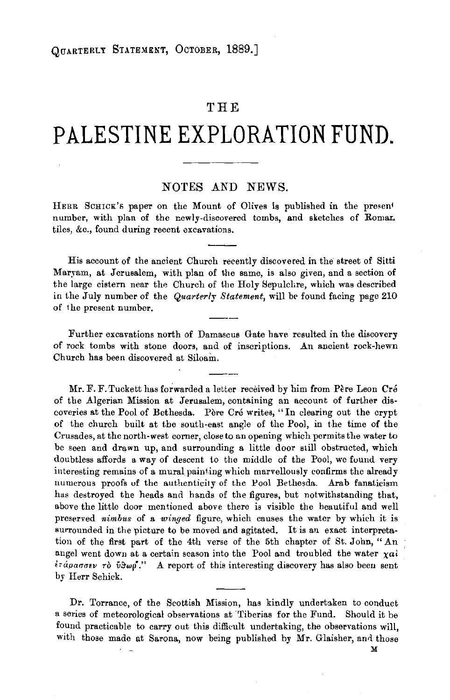## **THE**

## **PALESTINE EXPLORATION FUND.**

## NOTES AND NEWS.

HERR SCHICK'S paper on the Mount of Olives is published in the present number, with plan of the newly-discovered tombs, and sketches of Roman tiles, &c., found during recent excavations.

His account of the ancient Church recently discovered in the street of Sitti Maryam, at Jerusalem, with plan of the same, is also given, and a section of the large cistern near the Church of the Holy Sepulchre, which was described in the July number of the *Quarterly Statement*, will be found facing page 210 of the present number.

Further excavations north of Damascus Gate have resulted in the discovery of rock tombs with stone doors, and of inscriptions. An ancient rock-hewn Church has been discovered at Siloam.

Mr. F. F. Tuckett has forwarded a letter received by him from Père Leon Cré of the Algerian Mission at Jerusalem, containing an account of further discoveries at the Pool of Bethesda. Père Cré writes, "In clearing out the crypt of the church built at the south-east angle of the Pool, in the time of the Crusades, at the north-west corner, close to an opening which permits the water to be seen and drawn up, and surrounding a little door still obstructed, which doubtless affords a way of descent to the middle of the Pool, we found very interesting remains of a mural painting which marvellously confirms the already numerous proofs of the authenticity of the Pool Bethesda. Arab fanaticism has destroyed the heads and hands of the figures, but notwithstanding that, above the little door mentioned above there is visible the heautiful and well preserved *nimbus* of a *winged* figure, which causes the water by which it is surrounded in the picture to be moved and agitated. It is an exact interpretation of the first part of the 4th verse of the 5th chapter of St. John, " An angel went down at a certain season into the Pool and troubled the water  $xai$  $\epsilon \tau \acute{a}p \alpha \sigma \sigma \epsilon \nu$   $\tau \delta$   $\delta \Re \omega \rho$ ." A report of this interesting discovery has also been sent by Herr Schick.

Dr. Torrance, of the Scottish Mission, has kindly undertaken to conduct a series of meteorological observations at 'Tiberias for the Fund. Should it be found practicable to carry out this difficult undertaking, the observations will, with those made at Sarona, now being published by Mr. Glaisher, and those

M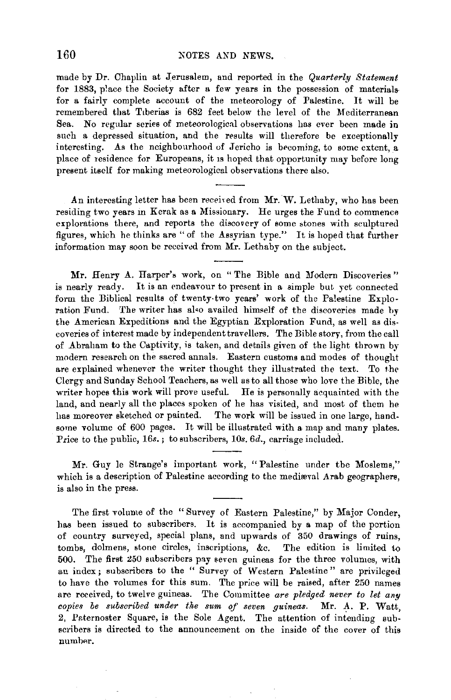made by Dr. Chaplin at Jerusalem, and reported in the *Quarterly Statement*  for 1883, place the Society after a few years in the possession of materials for a fairly complete account of the meteorology of Palestine. It will be remembered that Tiberias is 682 feet below the level of the Mediterranean Sea. No regular series of meteorological observations has ever been made in such a depressed situation, and the results will therefore be exceptionally interesting. As the neighbourhood of Jericho is becoming, to some extent, a place of residence for Europeans, it Is hoped that opportunity may before long present itself for making meteorological observations there also.

An interesting letter has been received from Mr. W. Lethaby, who has been residing two years in Kerak as a Missionary. He urges the Fund to commence explorations there, and reports the discovery of some stones with sculptured figures, which he thinks are "of the Assyrian type." It is hoped that further information may soon be received from Mr. Lethaby on the subject.

Mr. Henry A. Harper's work, on "The Bible and Modern Discoveries" is nearly ready. It is an endeavour to present in a simple but yet connected form the Biblical results of twenty-two years' work of the Palestine Exploration Fund. The writer has al•o availed himself of the discoveries made by the American Expeditions and the Egyptian Exploration Fund, as well as discoveries of interest made by independent travellers. The Bible *story,* from the call of Abraham to the Captivity, is taken, and details given of the light thrown by modern research on the sacred annals. Eastern customs and modes of thought are explained whenever the writer thought they illustrated the text. To the Clergy and Sunday School Teachers, as well as to all those who love the Bible, the writer hopes this work will prove useful. He is personally acquainted with the land, and nearly all the places spoken of he has visited, and most of them he has moreover sketched or painted. The work will be issued in one large, handsome volume of 600 pages. It will be illustrated with a map and many plates. Price to the public, 16s.; to subscribers, 10s. 6d., carriage included.

Mr. Guy le Strange's important work, "Palestine under the Moslems," which is a description of Palestine according to the medieval Arab geographers, is also in the press.

The first volume of the "Survey of Eastern Palestine," by Major Conder, has been issued to subscribers. It is accompanied by a map of the portion of country surveyed, special plans, and upwards of 350 drawings of ruins, tombs, dolmens, stone circles, inscriptions, &c. The edition is limited to 500. The first 250 subscribers pay seven guineas for the three volumes, with an index; subscribers to the " Survey of Western Palestine" are privileged to have the volumes for this sum. The price will be raised, after 250 names are received, to twelve guineas. The Committee are pledged never to let any *copies be subscribed under the sum of seven guineas. Mr. A. P. Watt,* 2, Psternoster Square, is the Sole Agent. The attention of intending subscribers is directed to the announcement on the inside of the cover of this number.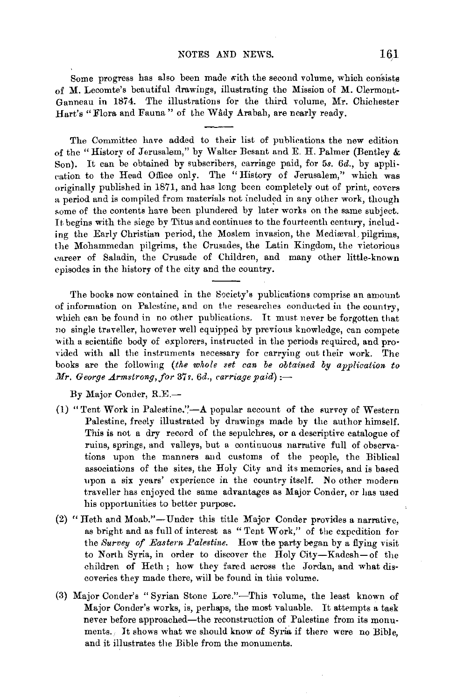Some progress has also been made with the second volume, which consists of **M.** Lecomte's beautiful clrawings, illustrating the Mission of **M.** Clermont-Ganneau **in** 1874. The illustrations for the third volume, Mr. Chichester Hart's "Flora and Fauna" of the Wâdy Arabah, are nearly ready.

The Committee have added to their list of publications the new edition of the "History of Jerusalem," by W alter Besant and E. **H.** Palmer (Bentley & Son). It can be obtained by subscribers, carriage paid, for 5s. *6d.,* by applieation to the Head Office only. The "History of Jerusalem," which was originally published in 1871, and has long been completely out of print, covers a period and is compiled from materials not included in any other work, though some of the contents have been plundered by later works on the same subject. It begins with the siege by Titus and continues to the fourteenth century, including the Early Christian period, the Moslem invasion, the Mediaval pilgrims, the Mohammedan pilgrims, the Crusades, the Latin Kingdom, the victorious eareer of Saladin, the Crusade of Children, and many other little-known episodes in the history of the city and the country.

The books now contained in the Society's publications comprise an amount of information on Palestine, and on the researches conducted in the country, which can be found in no other publications. It must never be forgotten that no single traveller, however well equipped by previous knowledge, can compete with a scientific body of explorers, instructed in the periods required, and provided with all the instruments necessary for carrying out their work. The books are the following *(the whole set can be obtained by application to Mr. George Armstrong,for* 37s. *6d., carriage paid):-*

By Major Conder, R.E.-

- (1) "Tent Work in Palestine." $-A$  popular account of the survey of Western Palestine, freely illustrated by drawings made by the author himself. This is not a dry record of the sepulchres, or a descriptive catalogue of ruins, springs, and valleys, but a continuous narrative full of observations upon the manners and customs of the people, the Biblical associations of the sites, the Holy City and its memories, and is based upon a six years' experience in the country itself. No other modern traveller has enjoyed the same advantages as Major Conder, or has used his opportunities to better purpose.
- (2) "Heth and Moab."-Under this title Major Conder provides a narrative, as bright and as full of interest as " Tent Work," of the expedition for the *Survey of Eastern Palestine.* How the party began by a flying visit to North Syria, in order to discover the Holy City-Kadesh-of the children of Heth; how they fared across the Jordan, and what discoveries they made there, will be found in this volume.
- (3) Major Conder's "Syrian Stone Lore."-This volume, the least known of Major Conder's works, is, perhaps, the most valuable. It attempts a task never before approached—the reconstruction of Palestine from its monuments. It shows what we should know of Syria if there were no Bible, and it illustrates the Bible from the monuments.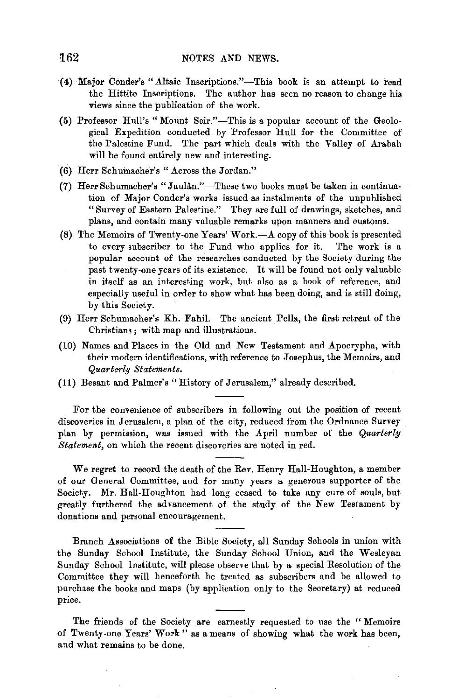- {4) Major Cimder's "Altaic Inscriptions."-This book is an attempt to read the Hittite Inscriptions. The author has seen no reason to change his views since the publication of the work.
- (5) Professor Hull's "Mount Seir."-This is a popular account of the Geological Expedition conducted by Professor Hull for the Committee of the Palestine Fund. The part which deals with the Valley of Arabah will be found entirely new and interesting.
- (6) Herr Schumacher's "Across the Jordan."
- (7) Herr Schumacher's "Jaulân." These two books must be taken in continuation of Major Conder's works issued as instalments of the unpublished "Survey of Eastern Palestine." They are full of drawings, sketches, and plans, and contain many valuable remarks upon manners and customs.
- (8) The Memoirs of Twenty-one Years' Work.-*A* copy of this book is presented to every subscriber to the Fund who applies for it. The work is a popular account of the researches conducted by the Society during the past twenty-one years of its existence. It will be found not only valuable in itself as an interesting work, but also as a book of reference, and especially useful in order to show what has been doing, and is still doing, by this Society.
- (9) Herr Schumacher's Kh. Fahil. The ancient Pella, the first retreat of the Christians ; with map and illustrations.
- (10) Names and Places in the Old and New Testament and Apocrypha, with their modern identifications, with reference to Josephus, the Memoirs, and *Quarterly Statements.*
- (11) Besant and Palmer's "History of Jerusalem," already described.

For the convenience of subscribers in following out the position of recent discoveries in Jerusalem, a plan of the city, reduced from the Ordnance Survey plan by permission, was issued with the April number of the *Quarterly Statement,* on which the recent discoveries are noted in red.

We regret to record the death of the Rev. Henry Hall-Houghton, a member of our General Committee, and for many years a generous supporter of the Society. Mr. Hall-Houghton had long ceased to take any cure of souls, but greatly furthered the advancement of the study of the New Testament by donations and personal encouragement.

Branch Associations of the Bible Society, all Sunday Schools in union with the Sunday School Institute, the Sunday School Union, and the Wesleyan Sunday School Institute, will please observe that by a special Resolution of the Committee they will henceforth be treated as subscribers and be allowed to purchase the books and maps (by application only to the Secretary) at reduced price.

The friends of the Society are earnestly requested to use the " Memoirs of Twenty-one Years' Work" as a means of showing what the work has been, and what remains to be done.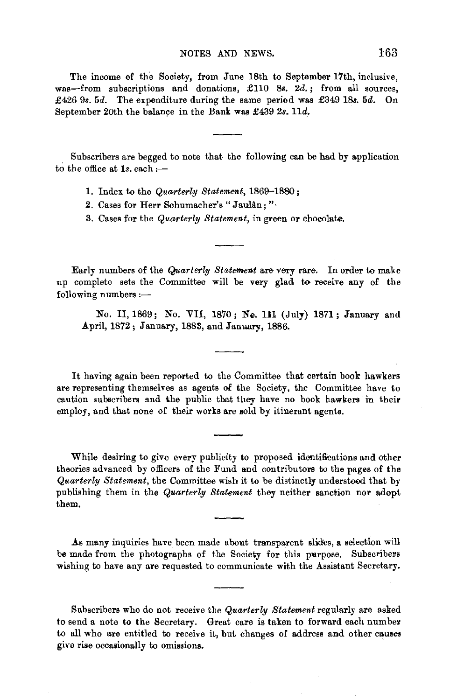## NOTES AND NEWS. 163

The income of the Society, from June 18th to September 17th, inclusive, The income of the society, from dune fold to september  $17th$ , inclusive, was-from subscriptions and donations,  $£110$  8s.  $2d.$ ; from all sources, £426 9s. 5d. The expenditure during the same period was £349 18s. 5d. On September 20th the balance in the Bank was £439 2s. 11d.

 $\mathbf{S}$  subscribers are beginning to note that the following can be had by application of the following can be had by application of the following can be had by application of the following can be had by application of t subscribers are begged to

- 1. Index to the *Quarterly Statement,* 1869-1880 ;
- 2. Cases for Herr Schumacher's "Jaulân; ".
- 3. Cases for the *Quarterly Statement,* in green or chocolnte.

Early numbers of the *Quarterly Statement* are very rare. In order to make numbers of the Contract of Statement are very rare. In order to make up complete sets the Committee will be very glad to receive any of the following numbers :--

 $N$ . II, 1869; No. VIII, 1970; No. HI (July) 1871; January and July April, 1872; January, 1888, and Jan~, 1886.

It having again been reported to the Committee that certain book hawkers It having again been reported to the Committee that certain book hawkers caution subscribers and the public that the public that the public that the public that the public that the public that the public that the public that the public that the public that the public that the public that the pu caution subscribers and the public that they have no book hawkers in their employ, and that none of their works are sold by itinerant agents.

While desiring to give every publicity to proposed identifications and other the desiring to give every publicity to proposed identifications and other theories advanced by officers of the Fund and contributors to the pages of the Quarterly Statement, the Committee wish it to be distinctly understood that by publishing them in the Quarterly Statement they neither sanction nor adopt them.

As many inquiries have been made about transparent sli.d:es, a selection will be many inquiries have been made about transparent sixtes, a selection will be made from the photographs of the Society for this purpose. Subscribers wishing to have any are requested to communicate with the Assistant Secretary.

Subscribers who do not receive the *Quarterly Statement* regularly are asked to subsecribers who do not receive the Seattlervy Bluement regularly are asked to send a note to the Secretary. Great care is taken to forward each number to all who are entitled to receive it, but changes of address and other causes give rise occasionally to omissions.